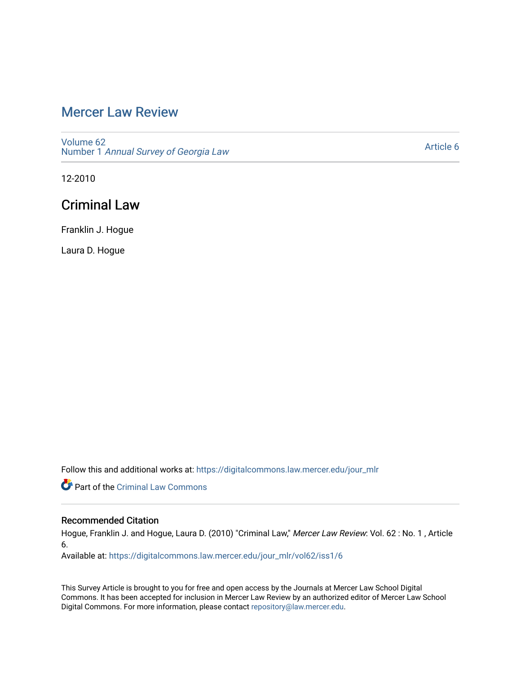# [Mercer Law Review](https://digitalcommons.law.mercer.edu/jour_mlr)

[Volume 62](https://digitalcommons.law.mercer.edu/jour_mlr/vol62) Number 1 [Annual Survey of Georgia Law](https://digitalcommons.law.mercer.edu/jour_mlr/vol62/iss1) 

[Article 6](https://digitalcommons.law.mercer.edu/jour_mlr/vol62/iss1/6) 

12-2010

## Criminal Law

Franklin J. Hogue

Laura D. Hogue

Follow this and additional works at: [https://digitalcommons.law.mercer.edu/jour\\_mlr](https://digitalcommons.law.mercer.edu/jour_mlr?utm_source=digitalcommons.law.mercer.edu%2Fjour_mlr%2Fvol62%2Fiss1%2F6&utm_medium=PDF&utm_campaign=PDFCoverPages)

Part of the [Criminal Law Commons](http://network.bepress.com/hgg/discipline/912?utm_source=digitalcommons.law.mercer.edu%2Fjour_mlr%2Fvol62%2Fiss1%2F6&utm_medium=PDF&utm_campaign=PDFCoverPages) 

## Recommended Citation

Hogue, Franklin J. and Hogue, Laura D. (2010) "Criminal Law," Mercer Law Review: Vol. 62 : No. 1 , Article 6.

Available at: [https://digitalcommons.law.mercer.edu/jour\\_mlr/vol62/iss1/6](https://digitalcommons.law.mercer.edu/jour_mlr/vol62/iss1/6?utm_source=digitalcommons.law.mercer.edu%2Fjour_mlr%2Fvol62%2Fiss1%2F6&utm_medium=PDF&utm_campaign=PDFCoverPages)

This Survey Article is brought to you for free and open access by the Journals at Mercer Law School Digital Commons. It has been accepted for inclusion in Mercer Law Review by an authorized editor of Mercer Law School Digital Commons. For more information, please contact [repository@law.mercer.edu](mailto:repository@law.mercer.edu).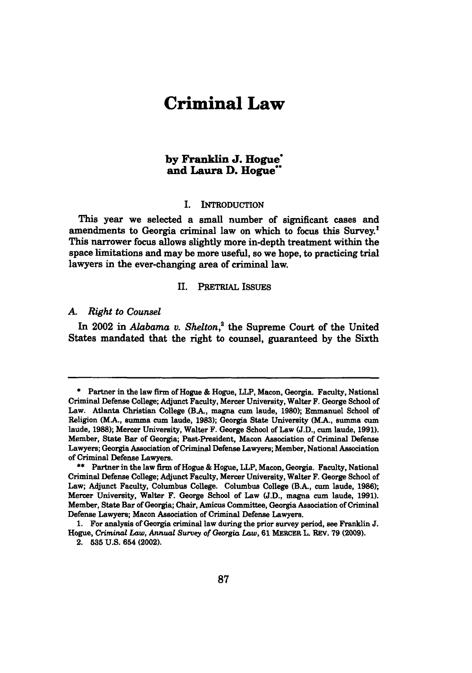# **Criminal Law**

## **by Franklin J. Hogue\* and Laura D. Hogue"**

#### I. INTRODUCTION

This year we selected a small number of significant cases and amendments to Georgia criminal law on which to focus this Survey.<sup>1</sup> This narrower focus allows slightly more in-depth treatment within the space limitations and may be more useful, so we hope, to practicing trial lawyers in the ever-changing area of criminal law.

#### II. PRETRIAL ISSUES

#### *A. Right to Counsel*

In 2002 in *Alabama v. Shelton,'* the Supreme Court of the United States mandated that the right to counsel, guaranteed **by** the Sixth

**<sup>\*</sup>** Partner in the law firm of Hogue **&** Hogue, LLP, Macon, Georgia. Faculty, National Criminal Defense College; Adjunct Faculty, Mercer University, Walter F. George School of Law. Atlanta Christian College (BA, magna cum laude, **1980);** Emmanuel School of Religion (M.A., summa cum laude, **1983);** Georgia State University (MA., summa **cum** laude, **1988);** Mercer University, Walter F. George School of Law **(J.D., cum** laude, **1991).** Member, State Bar of Georgia; Past-President, Macon Association of Criminal Defense Lawyers; Georgia Association of Criminal Defense Lawyers; Member, National Association of Criminal Defense Lawyers.

**<sup>\*\*</sup>** Partner in the law firm of Hogue **&** Hogue, LLP, Macon, Georgia. Faculty, National Criminal Defense College; Adjunct Faculty, Mercer University, Walter F. George School of Law; Adjunct Faculty, Columbus College. Columbus College (B.A., cum laude, **1986);** Mercer University, Walter F. George School of Law **(J.D.,** magna cum laude, **1991).** Member, State Bar of Georgia; Chair, Amicus Committee, Georgia Association of Criminal Defense Lawyers; Macon Association of Criminal Defense Lawyers.

**<sup>1.</sup>** For analysis of Georgia criminal law during the prior survey period, see Franklin **J.** Hogue, *Criminal Law, Annual Survey of Georgia* Law, **61** MERCER L. REV. **79 (2009).**

<sup>2.</sup> **535 U.S.** 654 (2002).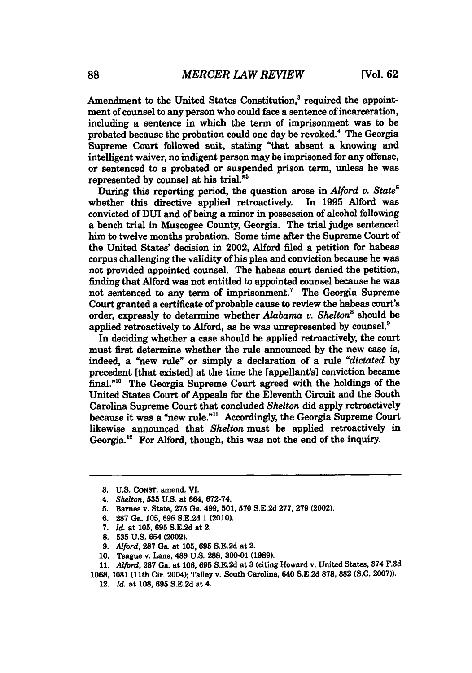Amendment to the United States Constitution,<sup>3</sup> required the appointment of counsel to any person who could face a sentence of incarceration, including a sentence in which the term of imprisonment was to be probated because the probation could one day be revoked." The Georgia Supreme Court followed suit, stating "that absent a knowing and intelligent waiver, no indigent person may be imprisoned for any offense, or sentenced to a probated or suspended prison term, unless he was represented **by** counsel at his trial."'

During this reporting period, the question arose in *Alford v. State"* whether this directive applied retroactively. convicted of DUI and of being a minor in possession of alcohol following a bench trial in Muscogee County, Georgia. The trial judge sentenced him to twelve months probation. Some time after the Supreme Court of the United States' decision in 2002, Alford filed a petition for habeas corpus challenging the validity of his plea and conviction because he was not provided appointed counsel. The habeas court denied the petition, finding that Alford was not entitled to appointed counsel because he was not sentenced to any term of imprisonment.' The Georgia Supreme Court granted a certificate of probable cause to review the habeas court's order, expressly to determine whether *Alabama v. Shelton'* should be applied retroactively to Alford, as he was unrepresented **by** counsel.'

In deciding whether a case should be applied retroactively, the court must first determine whether the rule announced **by** the new case is, indeed, a "new rule" or simply a declaration of a rule *"dictated by* precedent [that existed] at the time the [appellant's] conviction became final."<sup>10</sup> The Georgia Supreme Court agreed with the holdings of the United States Court of Appeals for the Eleventh Circuit and the South Carolina Supreme Court that concluded *Shelton* did apply retroactively because it was a "new rule."" Accordingly, the Georgia Supreme Court likewise announced that *Shelton* must be applied retroactively in Georgia.<sup>12</sup> For Alford, though, this was not the end of the inquiry.

- **9.** Alford, **287** Ga. at **105, 695 S.E.2d** at 2.
- **10.** Teague v. Lane, 489 **U.S. 288, 300-01 (1989).**
- **11.** *Alford,* **287** Ga. at **106, 695 S.E.2d** at **3** (citing Howard v. United States, 374 **F.3d**

12. *Id. at* **108, 695 S.E.2d** at 4.

**<sup>3.</sup> U.S.** CoNST. amend. VI.

<sup>4.</sup> *Shelton, 535* **U.S.** *at* 664, **672-74.**

**<sup>5.</sup>** Barnes v. State, **275** Ga. 499, **501, 570 S.E.2d 277, 279** (2002).

**<sup>6. 287</sup>** Ga. **105, 695 S.E.2d 1** (2010).

*<sup>7.</sup> Id.* at **105, 695 S.E.2d** at 2.

**<sup>8. 535</sup> U.S.** 654 (2002).

**<sup>1068, 1081 (11</sup>th** Cir. 2004); Talley v. South Carolina, 640 **S.E.2d 878,** 882 **(S.C. 2007)).**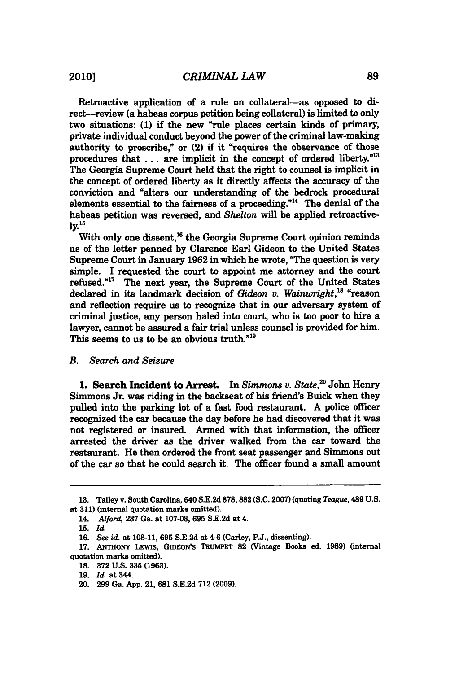Retroactive application of a rule on collateral-as opposed to direct-review (a habeas corpus petition being collateral) is limited to only two situations: **(1)** if the new "rule places certain kinds of primary, private individual conduct beyond the power of the criminal law-making authority to proscribe," or (2) if it "requires the observance of those procedures that . . . are implicit in the concept of ordered liberty."<sup>13</sup> The Georgia Supreme Court held that the right to counsel is implicit in the concept of ordered liberty as it directly affects the accuracy of the conviction and "alters our understanding of the bedrock procedural elements essential to the fairness of a proceeding. $"^{14}$  The denial of the habeas petition was reversed, and *Shelton* will be applied retroactive**ly.'<sup>5</sup>**

With only one dissent,<sup>16</sup> the Georgia Supreme Court opinion reminds us of the letter penned **by** Clarence Earl Gideon to the United States Supreme Court in January **1962** in which he wrote, "The question is very simple. I requested the court to appoint me attorney and the court refused."<sup>17</sup> The next year, the Supreme Court of the United States declared in its landmark decision of *Gideon v. Wainwright,8* "reason and reflection require us to recognize that in our adversary system of criminal justice, any person haled into court, who is too poor to hire a lawyer, cannot be assured a fair trial unless counsel is provided for him. This seems to us to be an obvious truth. $"19"$ 

### *B. Search and Seizure*

**1.** Search Incident to Arrest. In *Simmons v. State,"* John Henry Simmons Jr. was riding in the backseat of his friend's Buick when they pulled into the parking lot of a fast food restaurant. **A** police officer recognized the car because the day before he had discovered that it was not registered or insured. Armed with that information, the officer arrested the driver as the driver walked from the car toward the restaurant. He then ordered the front seat passenger and Simmons out of the car so that he could search it. The officer found a small amount

**<sup>13.</sup>** Talley v. South Carolina, 640 **S.E.2d 878,882 (S.C. 2007)** (quoting *Teague,* 489 **U.S.** at **311)** (internal quotation marks omitted).

*<sup>14.</sup> Alford,* **287** Ga. at **107-08, 695 S.E.2d** at 4.

**<sup>15.</sup>** *Id.*

**<sup>16.</sup>** *See id.* at **108-11, 695 S.E.2d** at 4-6 (Carley, **P.J.,** dissenting).

**<sup>17.</sup>** ANTHONY LEWIs, GIDEoN's TRUMPET **82** (Vintage Books ed. **1989)** (internal quotation marks omitted).

**<sup>18. 372</sup> U.S. 335 (1963).**

**<sup>19.</sup>** *Id.* at 344.

<sup>20.</sup> **299** Ga. **App.** 21, **681 S.E.2d 712 (2009).**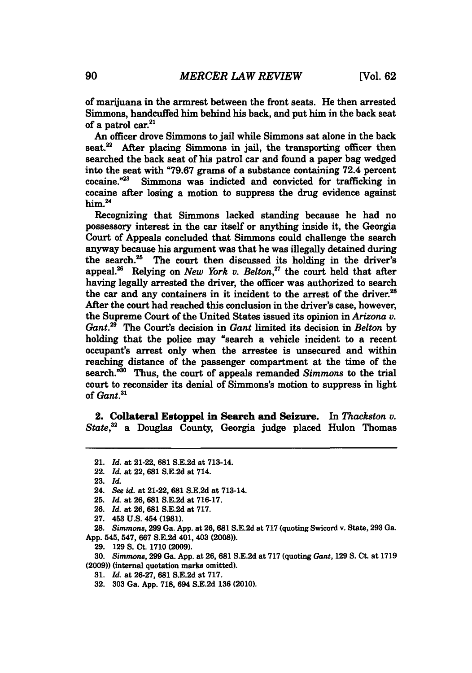of marijuana in the armrest between the front seats. He then arrested Simmons, handcuffed him behind his back, and put him in the back seat of a patrol car. $21$ 

An officer drove Simmons to jail while Simmons sat alone in the back seat.<sup>22</sup> After placing Simmons in jail, the transporting officer then searched the back seat of his patrol car and found a paper bag wedged into the seat with **"79.67** grams of a substance containing 72.4 percent Simmons was indicted and convicted for trafficking in cocaine after losing a motion to suppress the drug evidence against him.<sup>24</sup>

Recognizing that Simmons lacked standing because he had no possessory interest in the car itself or anything inside it, the Georgia Court of Appeals concluded that Simmons could challenge the search anyway because his argument was that he was illegally detained during the search. $^{25}$  The court then discussed its holding in the driver's appeal.26 Relying on *New York v. Belton,"* the court held that after having legally arrested the driver, the officer was authorized to search the car and any containers in it incident to the arrest of the driver.<sup>28</sup> After the court had reached this conclusion in the driver's case, however, the Supreme Court of the United States issued its opinion in *Arizona v. Gant."* The Court's decision in *Gant* limited its decision in *Belton* **by** holding that the police may "search a vehicle incident to a recent occupant's arrest only when the arrestee is unsecured and within reaching distance of the passenger compartment at the time of the search.<sup>330</sup> Thus, the court of appeals remanded *Simmons* to the trial court to reconsider its denial of Simmons's motion to suppress in light of *Gant.'*

2. Collateral Estoppel in Search and Seizure. In *Thackston v. State,"* a Douglas County, Georgia judge placed Hulon Thomas

**27.** 453 **U.S.** 454 **(1981).**

**28.** *Simmons,* **299** Ga. **App.** at **26, 681 S.E.2d** at **717** (quoting Swicord v. State, **293** Ga. **App.** 545, 547, **667 S.E.2d** 401, 403 **(2008)).**

**29. 129 S.** Ct. **1710 (2009).**

**30.** *Simmons,* **299** Ga. **App.** at **26, 681 S.E.2d** at **717** (quoting *Gant,* **129 S.** Ct. at **1719 (2009))** (internal quotation marks omitted).

- *31. Id.* at **26-27, 681 S.E.2d** at **717.**
- **32. 303** Ga. **App. 718,** 694 **S.E.2d 136** (2010).

<sup>21.</sup> *Id.* at 21-22, **681 S.E.2d** at 713-14.

<sup>22.</sup> *Id. at* 22, **681 S.E.2d** at 714.

**<sup>23.</sup>** *Id.*

<sup>24.</sup> *See id. at* 21-22, **681 S.E.2d** at 713-14.

**<sup>25.</sup>** *Id. at* **26, 681 S.E.2d** *at* **716-17.**

**<sup>26.</sup>** *Id. at* **26, 681 S.E.2d** at **717.**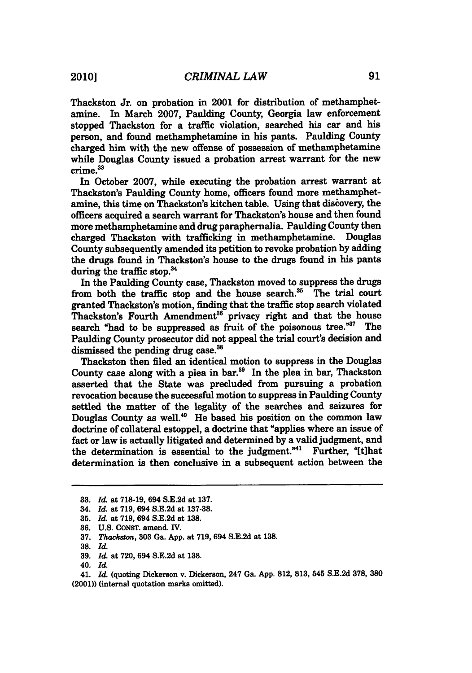Thackston *Jr.* on probation in 2001 for distribution of methamphetamine. In March **2007,** Paulding County, Georgia law enforcement stopped Thackston for a traffic violation, searched his car and his person, and found methamphetamine in his pants. Paulding County charged him with the new offense of possession of methamphetamine while Douglas County issued a probation arrest warrant for the new crime.<sup>33</sup>

In October **2007,** while executing the probation arrest warrant at Thackston's Paulding County home, officers found more methamphetamine, this time on Thackston's kitchen table. Using that discovery, the officers acquired a search warrant for Thackston's house and then found more methamphetamine and drug paraphernalia. Paulding County then charged Thackston with trafficking in methamphetamine. Douglas County subsequently amended its petition to revoke probation **by** adding the drugs found in Thackston's house to the drugs found in his pants during the traffic stop.<sup>34</sup>

In the Paulding County case, Thackston moved to suppress the drugs from both the traffic stop and the house search." The trial court granted Thackston's motion, finding that the traffic stop search violated Thackston's Fourth Amendment<sup>36</sup> privacy right and that the house search "had to be suppressed as fruit of the poisonous tree."<sup>37</sup> The Paulding County prosecutor did not appeal the trial court's decision and dismissed the pending drug case.<sup>38</sup>

Thackston then filed an identical motion to suppress in the Douglas County case along with a plea in bar.<sup>39</sup> In the plea in bar, Thackston asserted that the State was precluded from pursuing a probation revocation because the successful motion to suppress in Paulding County settled the matter of the legality of the searches and seizures for Douglas County as well.<sup>40</sup> He based his position on the common law doctrine of collateral estoppel, a doctrine that "applies where an issue of fact or law is actually litigated and determined **by** a valid judgment, and the determination is essential to the judgment."<sup>41</sup> Further, "[t]hat determination is then conclusive in a subsequent action between the

**38.** *Id.*

**<sup>33.</sup>** *Id. at* **718-19,** 694 **S.E.2d** at **137.**

<sup>34.</sup> *Id. at* **719,** 694 **S.E.2d** at **137-38.**

**<sup>36.</sup>** *Id. at* **719,** 694 **S.E.2d** at **138.**

**<sup>36.</sup> U.S.** CoNsT. amend. IV.

**<sup>37.</sup>** *Thackston,* **303** Ga. **App.** at **719,** 694 **S.E.2d** at **138.**

**<sup>39.</sup>** *Id.* at **720,** 694 **S.E.2d** at **138.**

<sup>40.</sup> *Id.*

<sup>41.</sup> *Id.* (quoting Dickerson v. Dickerson, 247 Ga. **App. 812, 813,** 545 **S.E.2d 378, 380** (2001)) (internal quotation marks omitted).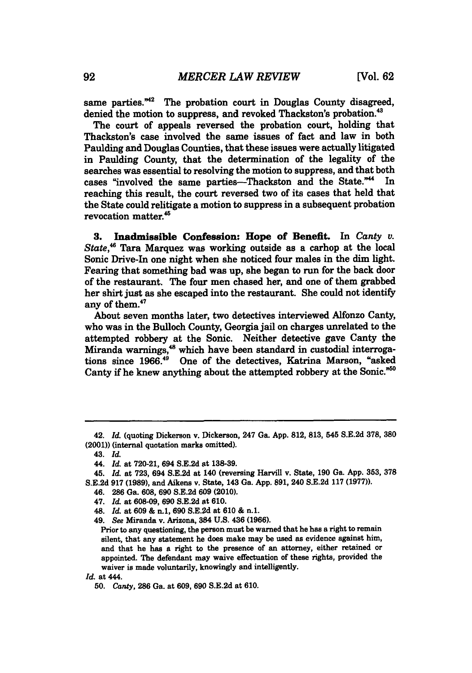same parties. $42$  The probation court in Douglas County disagreed, denied the motion to suppress, and revoked Thackston's probation.<sup>43</sup>

The court of appeals reversed the probation court, holding that Thackston's case involved the same issues of fact and law in both Paulding and Douglas Counties, that these issues were actually litigated in Paulding County, that the determination of the legality of the searches was essential to resolving the motion to suppress, and that both cases "involved the same parties-Thackston and the State."<sup>44</sup> In reaching this result, the court reversed two of its cases that held that the State could relitigate a motion to suppress in a subsequent probation revocation matter.<sup>45</sup>

**3.** Inadmissible Confession: Hope of Benefit. In *Canty v. State,"* Tara Marquez was working outside as a carhop at the local Sonic Drive-In one night when she noticed four males in the dim light. Fearing that something bad was up, she began to run for the back door of the restaurant. The four men chased her, and one of them grabbed her shirt just as she escaped into the restaurant. She could not identify any of them.<sup>47</sup>

About seven months later, two detectives interviewed Alfonzo Canty, who was in the Bulloch County, Georgia jail on charges unrelated to the attempted robbery at the Sonic. Neither detective gave Canty the Miranda warnings,<sup>48</sup> which have been standard in custodial interrogations since **1966."** One of the detectives, Katrina Marson, "asked Canty if he knew anything about the attempted robbery at the Sonic.<sup>"50</sup>

47. *Id.* at **608-09, 690 S.E.2d** at **610.**

<sup>42.</sup> *Id.* (quoting Dickerson v. Dickerson, 247 Ga. **App. 812, 813,** 545 **S.E.2d 378, 380** (2001)) (internal quotation marks omitted).

<sup>43.</sup> *Id.*

<sup>44.</sup> *Id.* at **720-21,** 694 **S.E.2d** at **138-39.**

<sup>45.</sup> *Id.* at **723,** 694 **S.E.2d** at 140 (reversing Harvill v. State, **190** Ga. **App. 353, 378 S.E.2d 917 (1989),** and Aikens v. State, 143 Ga. **App. 891,** 240 **S.E.2d 117 (1977)).**

<sup>46.</sup> **286** Ga. **608, 690 S.E.2d 609** (2010).

<sup>48.</sup> *Id.* at **609 &** n.1, **690 S.E.2d** at **610 &** n.1.

<sup>49.</sup> *See* Miranda v. Arizona, 384 **U.S.** 436 **(1966).**

Prior to any questioning, the person must be warned that he has a right to remain silent, that any statement he does make may be used as evidence against him, and that he has a right to the presence of an attorney, either retained or appointed. The defendant may waive effectuation of these rights, provided the waiver is made voluntarily, knowingly and intelligently.

*Id.* at 444.

**<sup>50.</sup>** *Canty,* **286** Ga. at **609, 690 S.E.2d** at **610.**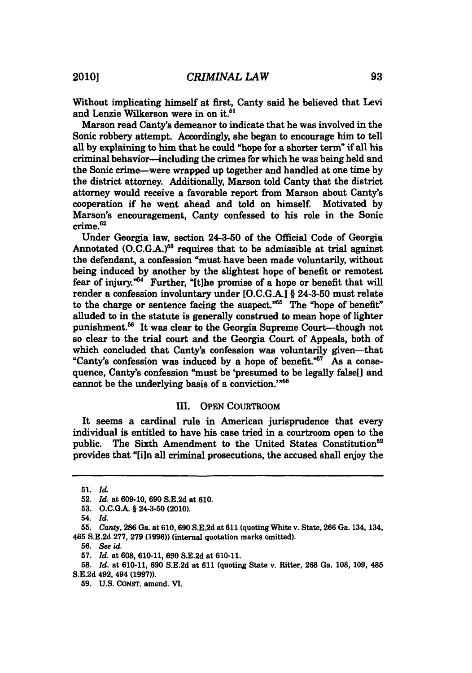Without implicating himself at first, Canty said he believed that Levi and Lenzie Wilkerson were in on it.<sup>51</sup>

Marson read Canty's demeanor to indicate that he was involved in the Sonic robbery attempt. Accordingly, she began to encourage him to tell all **by** explaining to him that he could "hope *for* a shorter term" if all his criminal behavior-including the crimes for which he was being held and the Sonic crime-were wrapped up together and handled at one time **by** the district attorney. Additionally, Marson told Canty that the district attorney would receive a favorable report from Marson about Canty's cooperation if he went ahead and told on himself. Motivated **by** Marson's encouragement, Canty confessed to his role in the Sonic crime.<sup>52</sup>

Under Georgia law, section 24-3-50 of the Official Code of Georgia Annotated **(O.C.G.A.)<sup>53</sup>** requires that to be admissible at trial against the defendant, a confession "must have been made voluntarily, without being induced **by** another **by** the slightest hope of benefit or remotest fear of injury."<sup>54</sup> Further, "[t]he promise of a hope or benefit that will render a confession involuntary under **[O.C.G.A.I** *§* 24-3-50 must relate to the charge or sentence facing the suspect."<sup>55</sup> The "hope of benefit" alluded to in the statute is generally construed to mean hope of lighter punishment.<sup>56</sup> It was clear to the Georgia Supreme Court-though not so clear to the trial court and the Georgia Court of Appeals, both of which concluded that Canty's confession was voluntarily given--that "Canty's confession was induced **by** a hope of benefit." As a consequence, Canty's confession "must be 'presumed to be legally false[] and cannot be the underlying basis of a conviction.'"<sup>58</sup>

## III. OPEN COURTROOM

It seems a cardinal rule in American jurisprudence that every individual is entitled to have his case tried in a courtroom open to the public. The Sixth Amendment to the United States Constitution<sup>59</sup> provides that "[ln all criminal prosecutions, the accused shall enjoy the

*<sup>51.</sup> Id.*

**<sup>52.</sup>** *Id.* at **609-10, 690 S.E.2d** *at* **610.**

**<sup>53.</sup> O.C.G.A. §** 24-3-50 (2010).

<sup>54.</sup> *Id.*

**<sup>55.</sup>** Canty, **286** *Ga. at* **610, 690 S.E.2d** at **611** (quoting White v. State, **266** Ga. 134, 134, 465 **S.E.2d 277, 279 (1996))** (internal quotation marks omitted).

**<sup>56.</sup>** *See id.*

**<sup>57.</sup>** *Id.* at **608, 610-11, 690 S.E.2d** at **610-11.**

**<sup>58.</sup>** *Id.* at **610-11, 690 S.E.2d** at **611** (quoting State v. Ritter, **268** Ga. **108, 109,** 485 **S.E.2d** 492, 494 **(1997)).**

**<sup>59.</sup> U.S. CONST.** amend. VI.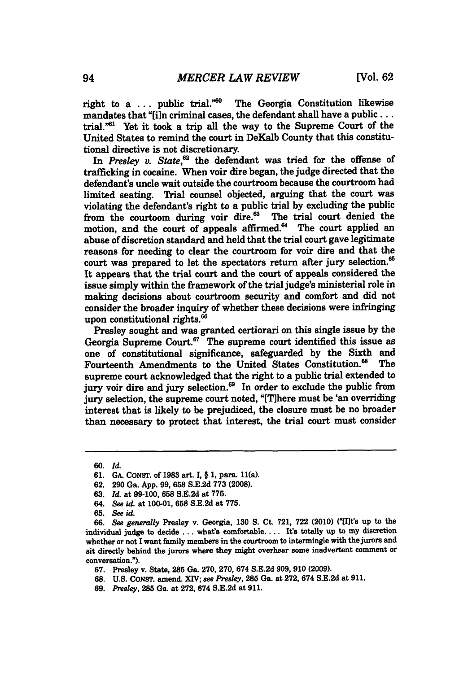right to a ... public trial.<sup>"60</sup> The Georgia Constitution likewise mandates that "[i]n criminal cases, the defendant shall have a public . . . trial."<sup>61</sup> Yet it took a trip all the way to the Supreme Court of the United States to remind the court in DeKalb County that this constitutional directive is not discretionary.

In Presley v. State,<sup>62</sup> the defendant was tried for the offense of trafficking in cocaine. When voir dire began, the judge directed that the defendant's uncle wait outside the courtroom because the courtroom had limited seating. Trial counsel objected, arguing that the court was violating the defendant's right to a public *trial* **by** excluding the public from the courtoom during voir dire. $63$  The trial court denied the motion, and the court of appeals affirmed.<sup>64</sup> The court applied an abuse of discretion standard and held that the trial court gave legitimate reasons for needing to clear the courtroom for voir dire and that the court was prepared to let the spectators return after jury selection.<sup>65</sup> It appears that the *trial* court and the court of appeals considered the issue simply within the framework of the *trial* judge's ministerial role in making decisions about courtroom security and comfort and did not consider the broader inquiry of whether these decisions were infringing upon constitutional rights.<sup>66</sup>

Presley sought and was granted certiorari on this single issue **by** the Georgia Supreme Court.<sup>67</sup> The supreme court identified this issue as one of constitutional significance, safeguarded **by** the Sixth and Fourteenth Amendments to the United States Constitution.<sup>68</sup> supreme court acknowledged that the right to a public trial extended to jury voir dire and jury selection.<sup>69</sup> In order to exclude the public from jury selection, the supreme court noted, "[T]here must be 'an overriding interest that is likely to be prejudiced, the closure must be no broader than necessary to protect that interest, the trial court must consider

**<sup>60.</sup>** *Id.*

**<sup>61.</sup> GA.** CONST. of **1983** art. **I,** *§* **1,** para. 11(a).

**<sup>62. 290</sup>** Ga. **App. 99, 658 S.E.2d 773 (2008).**

**<sup>63.</sup>** *Id.* at **99-100, 658 S.E.2d** at **775.**

<sup>64.</sup> *See id. at* **100-01, 658 S.E.2d** at **775.**

**<sup>65.</sup>** *See id*

**<sup>66.</sup>** *See generally* Presley v. Georgia, **130 S.** Ct. **721, 722** (2010) *("[It's* up to the individual judge to decide **...** what's comfortable.... It's totally up to my discretion whether or not **I** want family members in the courtroom to intermingle with the jurors and sit directly behind the jurors where they might overhear some inadvertent comment or conversation.").

**<sup>67.</sup>** Presley v. State, **285** Ga. **270, 270,** 674 **S.E.2d 909, 910 (2009).**

**<sup>68.</sup> U.S. CONST.** amend. XIV; *see Pedey,* **285** Ga. at **272, 674 S.E.2d** at **911.**

*<sup>69.</sup> Presley,* 285 Ga. at 272, 674 S.E.2d at 911.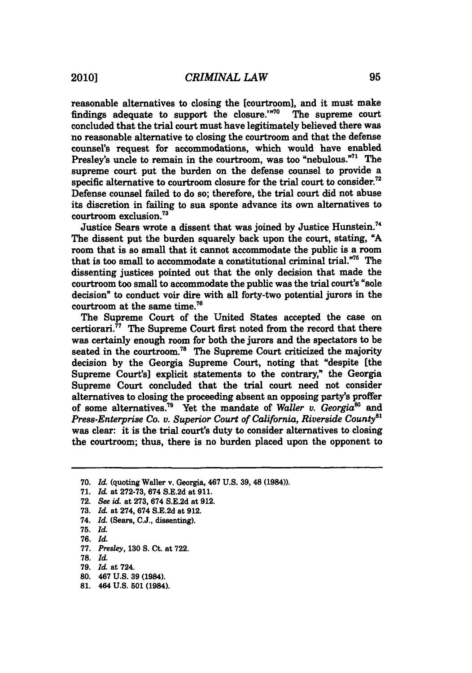reasonable alternatives to closing the [courtroom], and it must make findings adequate to support the closure.<sup>770</sup> The supreme court findings adequate to support the closure. $170^\circ$ concluded that the trial court must have legitimately believed there was no reasonable alternative to closing the courtroom and that the defense counsel's request for accommodations, which would have enabled Presley's uncle to remain in the courtroom, was too "nebulous."<sup>71</sup> The supreme court put the burden on the defense counsel to provide a specific alternative to courtroom closure for the trial court to consider.<sup>72</sup> Defense counsel failed to do so; therefore, the trial court did not abuse its discretion in failing to sua sponte advance its own alternatives to courtroom exclusion.

Justice Sears wrote a dissent that was joined **by** Justice Hunstein.<sup>4</sup> The dissent put the burden squarely back upon the court, stating, **"A** room that is so small that it cannot accommodate the public is a room that is too small to accommodate a constitutional criminal trial."'5 The dissenting justices pointed out that the only decision that made the courtroom too small to accommodate the public was the trial court's "sole decision" to conduct voir dire with all forty-two potential jurors in the courtroom at the same time.

The Supreme Court of the United States accepted the case on certiorari. $^{77}$  The Supreme Court first noted from the record that there was certainly enough room for both the jurors and the spectators to be seated in the courtroom.<sup>78</sup> The Supreme Court criticized the majority decision **by** the Georgia Supreme Court, noting that "despite [the Supreme Court's] explicit statements to the contrary," the Georgia Supreme Court concluded that the trial court need not consider alternatives to closing the proceeding absent an opposing party's proffer of some alternatives.<sup>79</sup> Yet the mandate of *Waller v. Georgia*<sup>80</sup> and *Press-Enterprise Co. v. Superior Court of California, Riverside County*<sup>81</sup> was clear: it is the trial court's duty to consider alternatives to closing the courtroom; thus, there is no burden placed upon the opponent to

**70.** *Id.* (quoting Waller v. Georgia, 467 **U.S. 39,** 48 (1984)).

- 74. *Id.* (Sears, **C.J.,** dissenting).
- **75.** *Id.*
- *76. Id.*
- *77. Presley, 130* **S.** Ct. at **722.**
- **78.** *Id.*
- **79.** *Id.* at 724.
- **80.** 467 **U.S. 39** (1984).
- **81.** 464 **U.S. 501** (1984).

**<sup>71.</sup>** *Id. at* **272-73,** 674 **S.E.2d** at **911.**

**<sup>72.</sup>** *See id, at* **273,** 674 **S.E.2d** at **912.**

**<sup>73.</sup>** *Id. at* 274, 674 **S.E.2d** at **912.**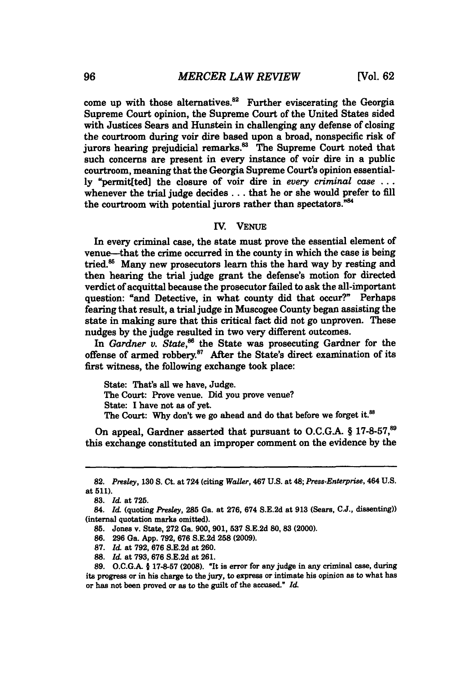come up with those alternatives.<sup>82</sup> Further eviscerating the Georgia Supreme Court opinion, the Supreme Court of the United States sided with Justices Sears and Hunstein in challenging any defense of closing the courtroom during voir dire based upon a broad, nonspecific risk of jurors hearing prejudicial remarks.<sup>83</sup> The Supreme Court noted that such concerns are present *in* every instance of voir dire in a public courtroom, meaning that the Georgia Supreme Court's opinion essential**ly** "permit[ted] the closure of voir dire *in every criminal case* **...** whenever the trial judge decides .. **.** that he or she would prefer to **fill** the courtroom with potential jurors rather than spectators."<sup>84</sup>

## IV. **VENUE**

In every criminal case, the state must prove the essential element of venue-that the crime occurred in the county in which the case is being tried.<sup>85</sup> Many new prosecutors learn this the hard way by resting and then hearing the trial judge *grant* the defense's motion for directed verdict of acquittal because the prosecutor failed to ask the all-important question: "and Detective, in what county did that occur?" Perhaps fearing that result, a trial judge in Muscogee County began assisting the state in making sure that this critical fact did not go unproven. These nudges **by** the judge resulted in two very different outcomes.

In *Gardner v. State*,<sup>86</sup> the State was prosecuting Gardner for the offense of armed robbery.<sup>87</sup> After the State's direct examination of its first witness, the following exchange took place:

State: That's all we have, Judge. The Court: Prove venue. Did you prove venue? State: **I** have not as of yet. The Court: Why don't we go ahead and do that before we forget it.<sup>88</sup>

On appeal, Gardner asserted that pursuant to O.C.G.A. § 17-8-57,<sup>89</sup> this exchange constituted an improper comment on the evidence **by** the

<sup>82.</sup> *Presley, 130* **S.** Ct. at 724 (citing *Waller,* 467 **U.S.** at 48; *Press-Enterprise,* 464 **U.S.** at **511).**

**<sup>83.</sup>** *Id.* at **725.**

<sup>84.</sup> *Id.* (quoting *Presley,* **285** Ga. at **276,** 674 **S.E.2d** at **913** (Sears, **C.J.,** dissenting)) (internal quotation marks omitted).

**<sup>85.</sup>** Jones v. State, **272** Ga. **900, 901, 537 S.E.2d 80, 83** (2000).

**<sup>86. 296</sup>** Ga. **App. 792, 676 S.E.2d 258 (2009).**

**<sup>87.</sup>** *Id.* at **792, 676 8.E.2d** at **260.**

**<sup>88.</sup>** *Id.* at **793, 676 S.E.2d** at **261.**

**<sup>89.</sup> O.C.G.A.** *§* **17-57 (2008).** "It is error for any judge in any criminal case, during its progress or in his charge to the *jury,* to express or intimate his opinion as to what has or has not been proved or as to the guilt of the accused." *Id.*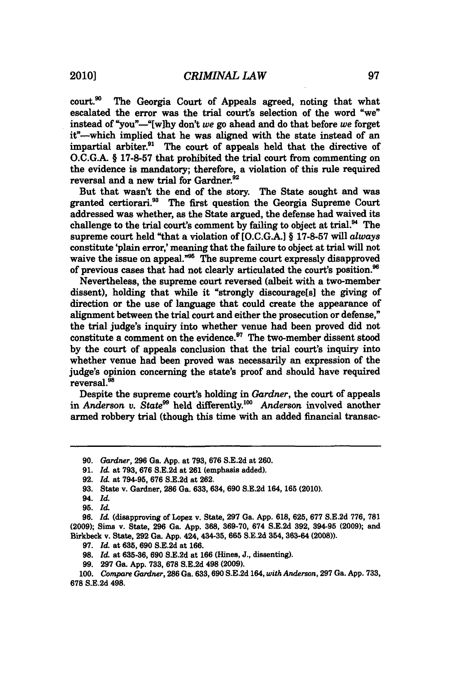court.<sup>30</sup> The Georgia Court of Appeals agreed, noting that what escalated the error was the trial court's selection of the word "we" instead of "you"-"[w]hy don't *we* go ahead and do that before *we* forget it"-which implied that he was aligned with the state instead of an impartial arbiter.<sup>91</sup> The court of appeals held that the directive of **O.C.G.A.** *§* **17-8-57** that prohibited the trial court from commenting on the evidence is mandatory; therefore, a violation of this rule required reversal and a new trial for Gardner.<sup>92</sup>

But that wasn't the end of the story. The State sought and was granted certiorari.<sup>33</sup> The first question the Georgia Supreme Court addressed was whether, as the State argued, the defense had waived its challenge to the trial court's comment **by** failing to object at trial." The supreme court held "that a violation of **[O.C.G.A.] § 17-8-57** will *always* constitute 'plain error,' meaning that the failure to object at trial will not waive the issue on appeal."<sup>35</sup> The supreme court expressly disapproved of previous cases that had not clearly articulated the court's position."

Nevertheless, the supreme court reversed (albeit with a two-member dissent), holding that while it "strongly discourage[s] the giving of direction or the use of language that could create the appearance of alignment between the trial court and either the prosecution or defense," the trial judge's inquiry into whether venue had been proved did not constitute a comment on the evidence.<sup>97</sup> The two-member dissent stood **by** the court of appeals conclusion that the trial court's inquiry into whether venue had been proved was necessarily an expression of the judge's opinion concerning the state's proof and should have required reversal.<sup>98</sup>

Despite the supreme court's holding in *Gardner,* the court of appeals in *Anderson v. State<sup>99</sup>* held differently.<sup>100</sup> *Anderson* involved another armed robbery trial (though this time with an added financial transac-

- **97.** *Id.* at **635, 690 S.E.2d** at **166.**
- **98.** *Id.* at **635-36, 690 S.E.2d** at **166** (Hines, **J.,** dissenting).
- **99. 297** Ga. **App. 733, 678 S.E.2d** 498 **(2009).**

**<sup>90.</sup>** *Gardner,* **296** Ga. **App.** at **793, 676 S.E.2d** at **260.**

**<sup>91.</sup>** *Id. at* **793, 676 S.E.2d** at **261** (emphasis added).

**<sup>92.</sup>** *Id.* at **794-95, 676 S.E.2d** at **262.**

**<sup>93.</sup>** State v. Gardner, **286** Ga. **633,** 634, **690 S.E.2d** 164, **165** (2010).

<sup>94.</sup> *Id.*

**<sup>95.</sup>** *Id.*

**<sup>96.</sup>** *Id.* (disapproving of Lopez v. State, **297** Ga. **App. 618, 625, 677 S.E.2d 776, 781 (2009);** Sims v. State, **296** Ga. **App. 368, 369-70,** 674 **S.E.2d 392,** 394-95 **(2009);** and Birkbeck v. State, **292** Ga. **App.** 424, 434-35, **665 S.E.2d** 354, **363-64** (2008)).

**<sup>100.</sup>** *Compare Gardner,* **286** Ga. **638, 690 S.E.2d** 164, *with Anderson,* **297** Ga. **App. 733, 678 S.E.2d** 498.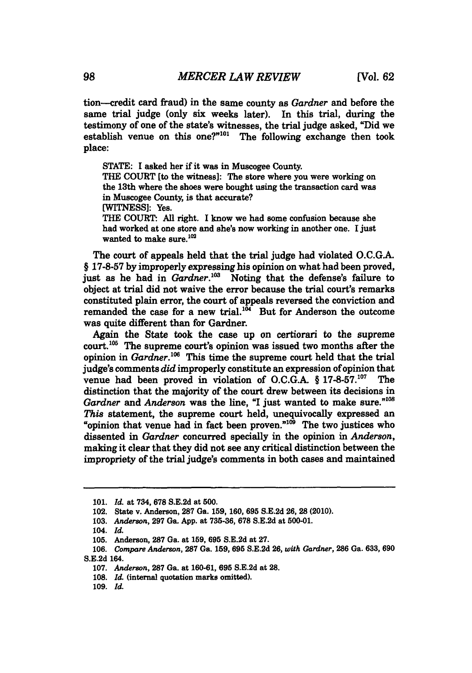tion--credit card fraud) in the same county as *Gardner* and before the same trial judge (only six weeks later). In this trial, during the testimony of one of the state's witnesses, the trial judge asked, "Did we establish venue on this one?"<sup>101</sup> The following exchange then took place:

**STATE: I** asked her if it was in Muscogee County.

THE **COURT** [to the witness]: The store where you were working on the 13th where the shoes were bought using the transaction card was in Muscogee County, is that accurate?

**[WITNESS]:** Yes.

THE **COURT: All** right. **I** know we had some confusion because she had worked at one store and she's now working in another one. I just wanted to make sure.<sup>102</sup>

The court of appeals held that the trial judge had violated **O.C.G.A.** *§* **17-8-57 by** improperly expressing his opinion on what had been proved, just as he had in *Gardner*.<sup>103</sup> Noting that the defense's failure to object at trial did not waive the error because the trial court's remarks constituted plain error, the court of appeals reversed the conviction and remanded the case for a new trial.<sup>104</sup> But for Anderson the outcome was quite different than for Gardner.

Again the State took the case up on certiorari to the supreme court.<sup>105</sup> The supreme court's opinion was issued two months after the opinion in *Gardner*.<sup>106</sup> This time the supreme court held that the trial judge's comments *did* improperly constitute an expression of opinion that venue had been proved in violation of O.C.G.A. § 17-8-57.<sup>107</sup> The distinction that the majority of the court drew between its decisions in Gardner and *Anderson* was the line, "I just wanted to make sure."<sup>108</sup> *This* statement, the supreme court held, unequivocally expressed an "opinion that venue had in fact been proven." $10^3$  The two justices who dissented in *Gardner* concurred specially in the opinion in *Anderson,* making it clear that they did not see any critical distinction between the impropriety of the trial judge's comments in both cases and maintained

**109.** *Id.*

**<sup>101.</sup>** *Id.* at 734, **678 S.E.2d** at **500.**

<sup>102.</sup> State v. Anderson, **287** Ga. **159, 160, 695 S.E.2d 26, 28** (2010).

**<sup>103.</sup>** *Anderson,* **297** Ga. **App.** at **735-36, 678 S.E.2d** at **500-01.**

<sup>104.</sup> *Id.*

**<sup>105.</sup>** Anderson, **287** Ga. at **159, 695 S.E.2d** at **27.**

**<sup>106.</sup>** *Compare Anderson,* **287** Ga. **159, 695 S.E.2d 26,** *with Gardner,* **286** Ga. **633, 690 8.E.2d** 164.

**<sup>107.</sup>** *Anderson,* **287** Ga. at **160-61, 695 S.E.2d** at **28.**

<sup>108.</sup> *Id.* (internal quotation marks omitted).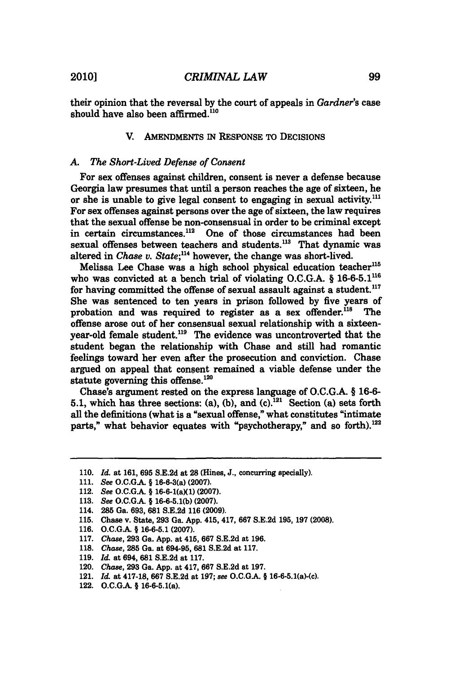their opinion that the reversal **by** the court of appeals in *Gardner's* case should have also been affirmed.<sup>110</sup>

## V. AMENDMENTS IN **RESPONSE** To DECIsIONs

#### *A. The Short-Lived* Defense of Consent

For sex offenses against children, consent is never a defense because Georgia law presumes that until a person reaches the age of sixteen, he or she is unable to give legal consent to engaging in sexual activity.<sup>111</sup> For sex offenses against persons over the age of sixteen, the law requires that the sexual offense be non-consensual in order to be criminal except in certain circumstances.<sup>112</sup> One of those circumstances had been sexual offenses between teachers and students.<sup>113</sup> That dynamic was altered in *Chase v. State*;<sup>114</sup> however, the change was short-lived.

Melissa Lee Chase was a high school physical education teacher<sup>115</sup> who was convicted at a bench trial of violating **O.C.G.A. § 16-6-5.1116** for having committed the offense of sexual assault against a student.<sup>117</sup> She was sentenced to ten years in prison followed **by** five years of probation and was required to register as a sex offender.<sup>118</sup> offense arose out of her consensual sexual relationship with a sixteenvear-old female student.<sup>119</sup> The evidence was uncontroverted that the student began the relationship with Chase and still had romantic feelings toward her even after the prosecution and conviction. Chase argued on appeal that consent remained a viable defense under the statute governing this offense. $120$ 

Chase's argument rested on the express language of **O.C.G.A.** *§* **16-6-** 5.1, which has three sections: (a), (b), and  $(c)$ .<sup>121</sup> Section (a) sets forth all the definitions (what is a "sexual offense," what constitutes "intimate parts," what behavior equates with "psychotherapy," and so forth).<sup>122</sup>

- 114. 286 Ga. **693, 681 S.E.2d 116 (2009).**
- **115.** Chase v. State, **293** Ga. **App.** 415, 417, **667 S.E.2d 195, 197 (2008).**
- **116. O.C.GA § 16-6-5.1 (2007).**
- **117.** *Chase,* **293** Ga. **App.** at 415, **667 S.E.2d** at **196.**
- **118.** *Chase,* **285** Ga. at **694-95, 681 S.E.2d** at **117.**
- **119.** *Id.* at 694, **681 S.E.2d** at **117.**
- 120. *Chase,* **293** Ga. **App.** at 417, **667 S.E.2d** at **197.**
- 121. *Id.* at **417-18, 667 S.E.2d** at **197;** *see* **O.C.G.A. §** 16-6-5.1(a)-(c).
- 122. **O.C.GA §** 16-6-5.1(a).

**<sup>110.</sup>** *Id. at* **161, 695 S.E.2d** at **28** (Hines, **J.,** concurring specially).

**<sup>111.</sup>** *See* **O.C.G.A. §** 16-6-3(a) **(2007).**

<sup>112.</sup> *See* **O.C.G.A. §** 16-6-1(aXl) **(2007).**

**<sup>113.</sup>** *See* **O.C.G.A. § 16-6-5.1(b) (2007).**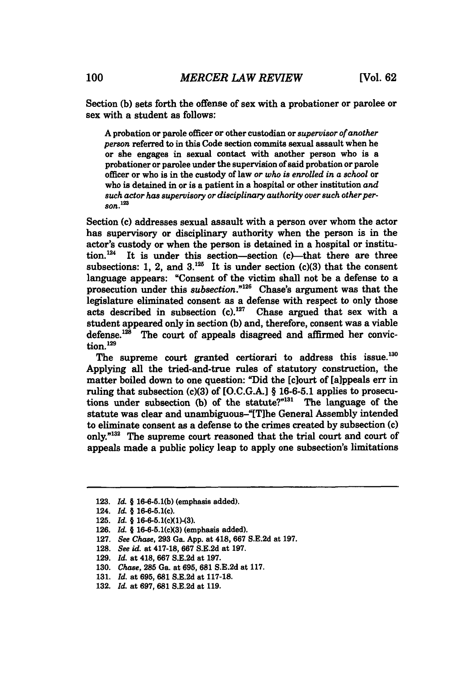Section **(b)** sets forth the offense of sex with a probationer or parolee or **sex** with a student as follows:

A probation or parole officer or other custodian or *supervisor* of another *person* referred to in this Code section commits sexual assault when he or she engages in sexual contact with another person who is a probationer or parolee under the supervision of said probation or parole officer or who is in the custody of law *or who is enrolled in a school or* who is detained in or is a patient **in** a hospital or other institution *and such actor has supervisory or disciplinary authority over such other person.1<sup>23</sup>*

Section (c) addresses sexual assault with a person over whom the actor has supervisory or disciplinary authority when the person is in the actor's custody or when the person is detained in a hospital or institution. $^{124}$  It is under this section-section (c)-that there are three subsections: 1, 2, and  $3^{125}$ . It is under section (c)(3) that the consent language appears: "Consent of the victim shall not be a defense to a prosecution under this *subsection."26* Chase's argument was that the legislature eliminated consent as a defense with respect to only those acts described in subsection  $(c)$ .<sup>127</sup> Chase argued that sex with a student appeared only in section **(b)** and, therefore, consent was a viable defense. $128$  The court of appeals disagreed and affirmed her conviction.<sup>129</sup>

The supreme court granted certiorari to address this issue.<sup>130</sup> Applying all the tried-and-true rules of statutory construction, the matter boiled down to one question: "Did the [clourt of [aippeals err in ruling that subsection (c)(3) of **[O.C.G.A.]** *§* **16-6-5.1** applies to prosecutions under subsection (b) of the statute?"<sup>131</sup> The language of the statute was clear and unambiguous-"[Tlhe General Assembly intended to eliminate consent as a defense to the crimes created **by** subsection (c) only."<sup>132</sup> The supreme court reasoned that the trial court and court of appeals made a public policy leap to apply one subsection's limitations

**<sup>123.</sup>** *Id.* **§ 16-6-5.1(b)** (emphasis added).

<sup>124.</sup> *Id* § 16-6-5.1(c).

**<sup>125.</sup>** *Id. §* 16-6-5.1(cX1)-(3).

**<sup>126.</sup>** *Id.* **§** 16-6-5.1(cX3) (emphasis added).

**<sup>127.</sup>** *See Chase,* **293** Ga. **App.** at 418, **667 S.E.2d** at **197.**

**<sup>128.</sup>** *See id.* at **417-18, 667 S.E.2d** at **197.**

**<sup>129.</sup>** *Id.* at 418, **667 S.E.2d** at **197.**

**<sup>130.</sup>** *Chase,* **285** Ga. at **695, 681 S.E.2d** at **117.**

**<sup>131.</sup>** *Id.* at **695, 681 S.E.2d** at **117-18.**

**<sup>132.</sup>** *Id.* at **697, 681 S.E.2d** at **119.**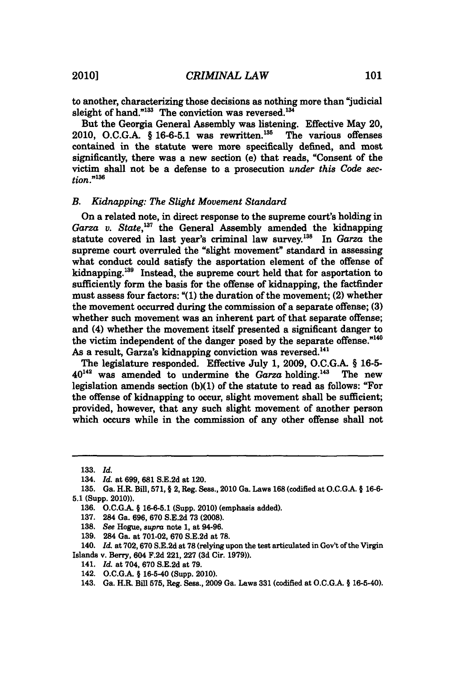to another, characterizing those decisions as nothing more than "judicial sleight of hand." $^{133}$  The conviction was reversed. $^{134}$ 

But the Georgia General Assembly was listening. Effective May 20, 2010, O.C.G.A. § 16-6-5.1 was rewritten.<sup>135</sup> The various offenses contained in the statute were more specifically defined, and most significantly, there was a new section (e) that reads, "Consent of the victim shall not be a defense to a prosecution *under this Code section."'3 e*

#### *B. Kidnapping: The Slight Movement Standard*

On a related note, in direct response to the supreme court's holding in Garza v. State,<sup>137</sup> the General Assembly amended the kidnapping statute covered in last year's criminal law survey.<sup>138</sup> In *Garza* the supreme court overruled the "slight movement" standard in assessing what conduct could satisfy the asportation element of the offense of kidnapping.<sup>139</sup> Instead, the supreme court held that for asportation to sufficiently form the basis for the offense of kidnapping, the factfinder must assess four factors: **"(1)** the duration of the movement; (2) whether the movement occurred during the commission of a separate offense; **(3)** whether such movement was an inherent part of that separate offense; and (4) whether the movement itself presented a significant danger to the victim independent of the danger posed **by** the separate offense." As a result, Garza's kidnapping conviction was reversed.<sup>141</sup>

The legislature responded. Effective July **1, 2009, O.C.G.A.** *§* **16-5-**  $40^{142}$  was amended to undermine the *Garza* holding.<sup>143</sup> The new legislation amends section **(b)(1)** of the statute to read as follows: "For the offense of kidnapping to occur, slight movement shall be sufficient; provided, however, that any such slight movement of another person which occurs while in the commission of any other offense shall not

- **138.** *See* Hogue, *supra* note **1,** at 94-96.
- **139.** 284 Ga. at **701-02, 670 S.E.2d** at **78.**

- 141. *Id.* at 704, **670 S.E.2d** at **79.**
- 142. **O.C.G.A. §** 16-5-40 (Supp. 2010).

**<sup>133.</sup>** *Id.*

<sup>134.</sup> *Id.* at **699, 681 S.E.2d** at 120.

**<sup>135.</sup>** Ga. H.R. Bill, **571, §** 2, Reg. Seas., 2010 Ga. Laws **168** (codified at **O.C.G.A. § 16-6- 5.1** (Supp. 2010)).

**<sup>136.</sup> O.C.GA § 16-6-5.1** (Supp. 2010) (emphasis added).

**<sup>137.</sup>** 284 Ga. **696, 670 S.E.2d 73 (2008).**

<sup>140.</sup> *Id.* at **702, 670 S.E.2d** at **78** (relying upon the test articulated in Gov't of the Virgin Islands v. Berry, 604 **F.2d** 221, **227 (3d** Cir. **1979)).**

<sup>143.</sup> Ga. H.R. Bill **575,** Reg. Sess., **2009** Ga. Laws **331** (codified at **O.C.G.A. §** 16-5-40).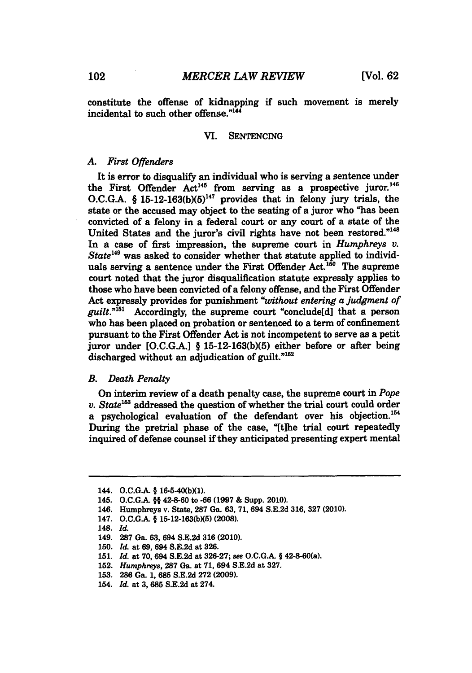constitute the offense of kidnapping if such movement is merely incidental to such other offense."<sup>144</sup>

#### VI. **SENTENCING**

### *A. First Offenders*

It is error to disqualify an individual who is serving a sentence under the First Offender  $Act^{145}$  from serving as a prospective juror.<sup>146</sup> **O.C.G.A.** *§* **15-12-163(b)(5)"** provides that in felony jury trials, the state or the accused may object to the seating of a juror who "has been convicted of a felony in a federal court or any court of a state of the United States and the juror's civil rights have not been restored."<sup>148</sup> In a case of first impression, the supreme court in *Humphreys v. State"9* was asked to consider whether that statute applied to individuals serving a sentence under the First Offender Act.<sup>150</sup> The supreme court noted that the juror disqualification statute expressly applies to those who have been convicted of a felony offense, and the First Offender Act expressly provides for punishment *"without entering a judgment of guilt."''* Accordingly, the supreme court "conclude[d] that a person who has been placed on probation or sentenced to a term of confinement pursuant to the First Offender Act is not incompetent to serve as a petit juror under **[O.C.G.A.]** *§* **15-12-163(b)(5)** either before or after being discharged without an adjudication of guilt."<sup>152</sup>

## *B. Death Penalty*

On interim review of a death penalty case, the supreme court in *Pope v. State*<sup>153</sup> addressed the question of whether the trial court could order a psychological evaluation of the defendant over his objection.<sup>154</sup> During the pretrial phase of the case, "[tihe trial court repeatedly inquired of defense counsel if they anticipated presenting expert mental

<sup>144.</sup> *O.C.G.A.* **§** 16-5-40(bXl).

<sup>145.</sup> **O.C.G.A. §§** 42-8-60 to **-66 (1997 &** Supp. 2010).

<sup>146.</sup> Humphreys v. State, **287** Ga. **63, 71,** 694 **S.E.2d 316, 327** (2010).

<sup>147.</sup> **O.C.G.A. § 15-12-163(bX5)** (2008).

<sup>148.</sup> *Id.*

<sup>149.</sup> **287** Ga. **63,** 694 **S.E.2d 316** (2010).

**<sup>150.</sup>** *Id. at 69,* 694 **S.E.2d** at **326.**

**<sup>151.</sup>** *Id.* at **70,** 694 **S.E.2d** at **326-27;** *see* **O.C.GA. §** 42-8-60(a).

**<sup>152.</sup>** *Humphreys,* **287** Ga. at **71,** 694 **S.E.2d** at **327.**

**<sup>153. 286</sup>** Ga. **1, 685 S.E.2d 272 (2009).**

<sup>154.</sup> *Id.* at **3, 685 S.E.2d** at 274.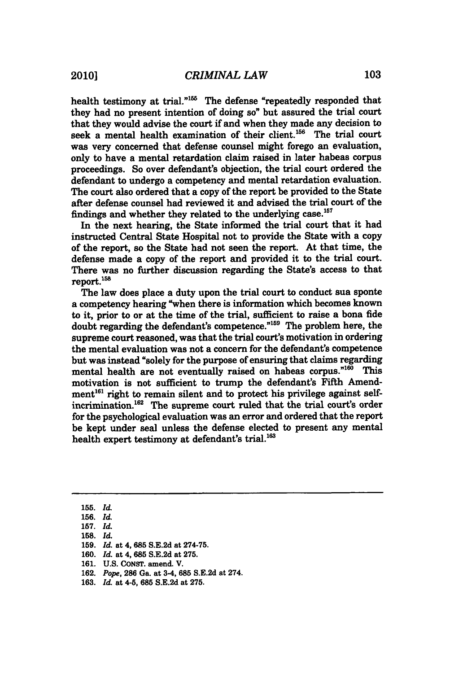health testimony at trial."<sup>155</sup> The defense "repeatedly responded that they had no present intention of doing so" but assured the trial court that they would advise the court if and when they made any decision to seek a mental health examination of their client.<sup>156</sup> The trial court was very concerned that defense counsel might forego an evaluation, only to have a mental retardation claim raised in later habeas corpus proceedings. So over defendant's objection, the trial court ordered the defendant to undergo a competency and mental retardation evaluation. The court also ordered that a copy of the report be provided to the State after defense counsel had reviewed it and advised the trial court of the findings and whether they related to the underlying case.<sup>157</sup>

In the next hearing, the State informed the trial court that it had instructed Central State Hospital not to provide the State with a copy of the report, so the State had not seen the report. At that time, the defense made a copy of the report and provided it to the trial court. There was no further discussion regarding the State's access to that  $report.<sup>158</sup>$ 

The law does place a duty upon the trial court to conduct sua sponte a competency hearing "when there is information which becomes known to it, prior to or at the time of the trial, sufficient to raise a bona fide doubt regarding the defendant's competence."<sup>159</sup> The problem here, the supreme court reasoned, was that the trial court's motivation in ordering the mental evaluation was not a concern for the defendant's competence but was instead "solely for the purpose of ensuring that claims regarding mental health are not eventually raised on habeas corpus."160 This motivation is not sufficient to trump the defendant's Fifth Amendment<sup>161</sup> right to remain silent and to protect his privilege against selfincrimination.<sup>162</sup> The supreme court ruled that the trial court's order for the psychological evaluation was an error and ordered that the report be kept under seal unless the defense elected to present any mental health expert testimony at defendant's trial.<sup>163</sup>

- **155.** *Id.*
- **156.** *Id.*

**158.** *Id.*

**160.** *Id. at 4,* **685 S.E.2d** at **275.**

- **162.** *Pope,* **286** Ga. at 3-4, **685 S.E.2d** at 274.
- **163.** *Id.* at 4-5, **685 S.E.2d** at **275.**

**<sup>157.</sup>** *Id.*

**<sup>159.</sup>** *Id. at 4,* **685 S.E.2d** at **274-75.**

**<sup>161.</sup> U.S. CONST.** amend. V.